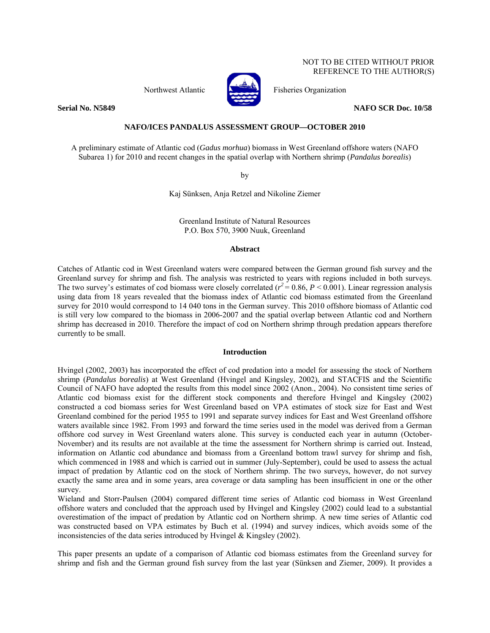Northwest Atlantic **No. 1989** Fisheries Organization



**Serial No. N5849 NAFO SCR Doc. 10/58** 

## **NAFO/ICES PANDALUS ASSESSMENT GROUP—OCTOBER 2010**

A preliminary estimate of Atlantic cod (*Gadus morhua*) biomass in West Greenland offshore waters (NAFO Subarea 1) for 2010 and recent changes in the spatial overlap with Northern shrimp (*Pandalus borealis*)

by

Kaj Sünksen, Anja Retzel and Nikoline Ziemer

Greenland Institute of Natural Resources P.O. Box 570, 3900 Nuuk, Greenland

### **Abstract**

Catches of Atlantic cod in West Greenland waters were compared between the German ground fish survey and the Greenland survey for shrimp and fish. The analysis was restricted to years with regions included in both surveys. The two survey's estimates of cod biomass were closely correlated ( $r^2$  = 0.86, *P* < 0.001). Linear regression analysis using data from 18 years revealed that the biomass index of Atlantic cod biomass estimated from the Greenland survey for 2010 would correspond to 14 040 tons in the German survey. This 2010 offshore biomass of Atlantic cod is still very low compared to the biomass in 2006-2007 and the spatial overlap between Atlantic cod and Northern shrimp has decreased in 2010. Therefore the impact of cod on Northern shrimp through predation appears therefore currently to be small.

# **Introduction**

Hvingel (2002, 2003) has incorporated the effect of cod predation into a model for assessing the stock of Northern shrimp (*Pandalus borealis*) at West Greenland (Hvingel and Kingsley, 2002), and STACFIS and the Scientific Council of NAFO have adopted the results from this model since 2002 (Anon., 2004). No consistent time series of Atlantic cod biomass exist for the different stock components and therefore Hvingel and Kingsley (2002) constructed a cod biomass series for West Greenland based on VPA estimates of stock size for East and West Greenland combined for the period 1955 to 1991 and separate survey indices for East and West Greenland offshore waters available since 1982. From 1993 and forward the time series used in the model was derived from a German offshore cod survey in West Greenland waters alone. This survey is conducted each year in autumn (October-November) and its results are not available at the time the assessment for Northern shrimp is carried out. Instead, information on Atlantic cod abundance and biomass from a Greenland bottom trawl survey for shrimp and fish, which commenced in 1988 and which is carried out in summer (July-September), could be used to assess the actual impact of predation by Atlantic cod on the stock of Northern shrimp. The two surveys, however, do not survey exactly the same area and in some years, area coverage or data sampling has been insufficient in one or the other survey.

Wieland and Storr-Paulsen (2004) compared different time series of Atlantic cod biomass in West Greenland offshore waters and concluded that the approach used by Hvingel and Kingsley (2002) could lead to a substantial overestimation of the impact of predation by Atlantic cod on Northern shrimp. A new time series of Atlantic cod was constructed based on VPA estimates by Buch et al. (1994) and survey indices, which avoids some of the inconsistencies of the data series introduced by Hvingel & Kingsley (2002).

This paper presents an update of a comparison of Atlantic cod biomass estimates from the Greenland survey for shrimp and fish and the German ground fish survey from the last year (Sünksen and Ziemer, 2009). It provides a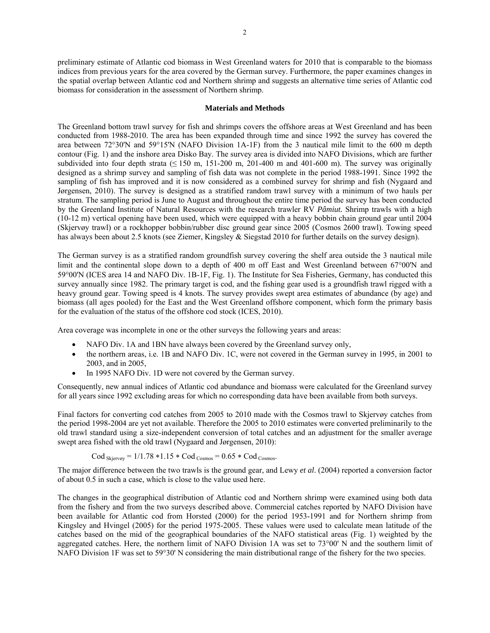preliminary estimate of Atlantic cod biomass in West Greenland waters for 2010 that is comparable to the biomass indices from previous years for the area covered by the German survey. Furthermore, the paper examines changes in the spatial overlap between Atlantic cod and Northern shrimp and suggests an alternative time series of Atlantic cod biomass for consideration in the assessment of Northern shrimp.

#### **Materials and Methods**

The Greenland bottom trawl survey for fish and shrimps covers the offshore areas at West Greenland and has been conducted from 1988-2010. The area has been expanded through time and since 1992 the survey has covered the area between 72°30'N and 59°15'N (NAFO Division 1A-1F) from the 3 nautical mile limit to the 600 m depth contour (Fig. 1) and the inshore area Disko Bay. The survey area is divided into NAFO Divisions, which are further subdivided into four depth strata ( $\leq$  150 m, 151-200 m, 201-400 m and 401-600 m). The survey was originally designed as a shrimp survey and sampling of fish data was not complete in the period 1988-1991. Since 1992 the sampling of fish has improved and it is now considered as a combined survey for shrimp and fish (Nygaard and Jørgensen, 2010). The survey is designed as a stratified random trawl survey with a minimum of two hauls per stratum. The sampling period is June to August and throughout the entire time period the survey has been conducted by the Greenland Institute of Natural Resources with the research trawler RV *Pâmiut.* Shrimp trawls with a high (10-12 m) vertical opening have been used, which were equipped with a heavy bobbin chain ground gear until 2004 (Skjervøy trawl) or a rockhopper bobbin/rubber disc ground gear since 2005 (Cosmos 2600 trawl). Towing speed has always been about 2.5 knots (see Ziemer, Kingsley & Siegstad 2010 for further details on the survey design).

The German survey is as a stratified random groundfish survey covering the shelf area outside the 3 nautical mile limit and the continental slope down to a depth of 400 m off East and West Greenland between 67°00'N and 59°00'N (ICES area 14 and NAFO Div. 1B-1F, Fig. 1). The Institute for Sea Fisheries, Germany, has conducted this survey annually since 1982. The primary target is cod, and the fishing gear used is a groundfish trawl rigged with a heavy ground gear. Towing speed is 4 knots. The survey provides swept area estimates of abundance (by age) and biomass (all ages pooled) for the East and the West Greenland offshore component, which form the primary basis for the evaluation of the status of the offshore cod stock (ICES, 2010).

Area coverage was incomplete in one or the other surveys the following years and areas:

- NAFO Div. 1A and 1BN have always been covered by the Greenland survey only,
- the northern areas, i.e. 1B and NAFO Div. 1C, were not covered in the German survey in 1995, in 2001 to 2003, and in 2005,
- In 1995 NAFO Div. 1D were not covered by the German survey.

Consequently, new annual indices of Atlantic cod abundance and biomass were calculated for the Greenland survey for all years since 1992 excluding areas for which no corresponding data have been available from both surveys.

Final factors for converting cod catches from 2005 to 2010 made with the Cosmos trawl to Skjervøy catches from the period 1998-2004 are yet not available. Therefore the 2005 to 2010 estimates were converted preliminarily to the old trawl standard using a size-independent conversion of total catches and an adjustment for the smaller average swept area fished with the old trawl (Nygaard and Jørgensen, 2010):

$$
Cod_{Skjervoy} = 1/1.78 * 1.15 * Cod_{Cosmos} = 0.65 * Cod_{Cosmos}.
$$

The major difference between the two trawls is the ground gear, and Lewy *et al*. (2004) reported a conversion factor of about 0.5 in such a case, which is close to the value used here.

The changes in the geographical distribution of Atlantic cod and Northern shrimp were examined using both data from the fishery and from the two surveys described above. Commercial catches reported by NAFO Division have been available for Atlantic cod from Horsted (2000) for the period 1953-1991 and for Northern shrimp from Kingsley and Hvingel (2005) for the period 1975-2005. These values were used to calculate mean latitude of the catches based on the mid of the geographical boundaries of the NAFO statistical areas (Fig. 1) weighted by the aggregated catches. Here, the northern limit of NAFO Division 1A was set to 73°00' N and the southern limit of NAFO Division 1F was set to 59°30' N considering the main distributional range of the fishery for the two species.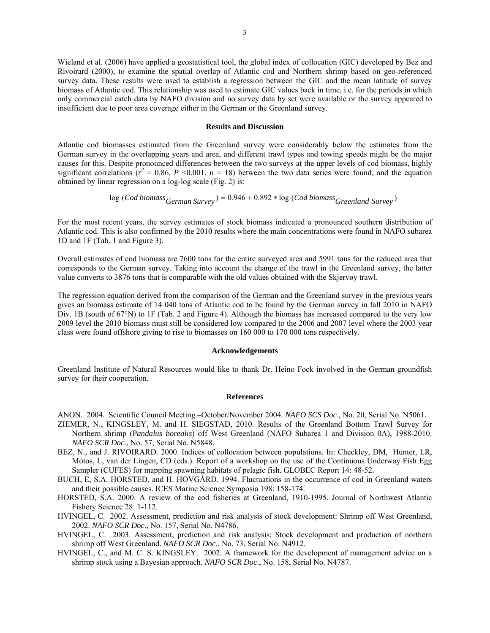Wieland et al. (2006) have applied a geostatistical tool, the global index of collocation (GIC) developed by Bez and Rivoirard (2000), to examine the spatial overlap of Atlantic cod and Northern shrimp based on geo-referenced survey data. These results were used to establish a regression between the GIC and the mean latitude of survey biomass of Atlantic cod. This relationship was used to estimate GIC values back in time, i.e. for the periods in which only commercial catch data by NAFO division and no survey data by set were available or the survey appeared to insufficient due to poor area coverage either in the German or the Greenland survey.

### **Results and Discussion**

Atlantic cod biomasses estimated from the Greenland survey were considerably below the estimates from the German survey in the overlapping years and area, and different trawl types and towing speeds might be the major causes for this. Despite pronounced differences between the two surveys at the upper levels of cod biomass, highly significant correlations  $(r^2 = 0.86, P \le 0.001, n = 18)$  between the two data series were found, and the equation obtained by linear regression on a log-log scale (Fig. 2) is:

$$
log (Cod\ biomass_{German\ Survey}) = 0.946 + 0.892 * log (Cod\ biomass_{Greenland\ Survey})
$$

For the most recent years, the survey estimates of stock biomass indicated a pronounced southern distribution of Atlantic cod. This is also confirmed by the 2010 results where the main concentrations were found in NAFO subarea 1D and 1F (Tab. 1 and Figure 3).

Overall estimates of cod biomass are 7600 tons for the entire surveyed area and 5991 tons for the reduced area that corresponds to the German survey. Taking into account the change of the trawl in the Greenland survey, the latter value converts to 3876 tons that is comparable with the old values obtained with the Skjervøy trawl.

The regression equation derived from the comparison of the German and the Greenland survey in the previous years gives an biomass estimate of 14 040 tons of Atlantic cod to be found by the German survey in fall 2010 in NAFO Div. 1B (south of 67°N) to 1F (Tab. 2 and Figure 4). Although the biomass has increased compared to the very low 2009 level the 2010 biomass must still be considered low compared to the 2006 and 2007 level where the 2003 year class were found offshore giving to rise to biomasses on 160 000 to 170 000 tons respectively.

### **Acknowledgements**

Greenland Institute of Natural Resources would like to thank Dr. Heino Fock involved in the German groundfish survey for their cooperation.

#### **References**

ANON. 2004. Scientific Council Meeting –October/November 2004. *NAFO SCS Doc*., No. 20, Serial No. N5061.

- ZIEMER, N., KINGSLEY, M. and H. SIEGSTAD, 2010. Results of the Greenland Bottom Trawl Survey for Northern shrimp (P*andalus borealis*) off West Greenland (NAFO Subarea 1 and Division 0A), 1988-2010. *NAFO SCR Doc*., No. 57, Serial No. N5848.
- BEZ, N., and J. RIVOIRARD. 2000. Indices of collocation between populations. In: Checkley, DM, Hunter, LR, Motos, L, van der Lingen, CD (eds.). Report of a workshop on the use of the Continuous Underway Fish Egg Sampler (CUFES) for mapping spawning habitats of pelagic fish. GLOBEC Report 14: 48-52.
- BUCH, E, S.A. HORSTED, and H. HOVGÅRD. 1994. Fluctuations in the occurrence of cod in Greenland waters and their possible causes. ICES Marine Science Symposia 198: 158-174.
- HORSTED, S.A. 2000. A review of the cod fisheries at Greenland, 1910-1995. Journal of Northwest Atlantic Fishery Science 28: 1-112.

HVINGEL, C. 2002. Assessment, prediction and risk analysis of stock development: Shrimp off West Greenland, 2002. *NAFO SCR Doc*., No. 157, Serial No. N4786.

HVINGEL, C. 2003. Assessment, prediction and risk analysis: Stock development and production of northern shrimp off West Greenland. *NAFO SCR Doc*., No. 73, Serial No. N4912.

HVINGEL, C., and M. C. S. KINGSLEY. 2002. A framework for the development of management advice on a shrimp stock using a Bayesian approach. *NAFO SCR Doc*., No. 158, Serial No. N4787.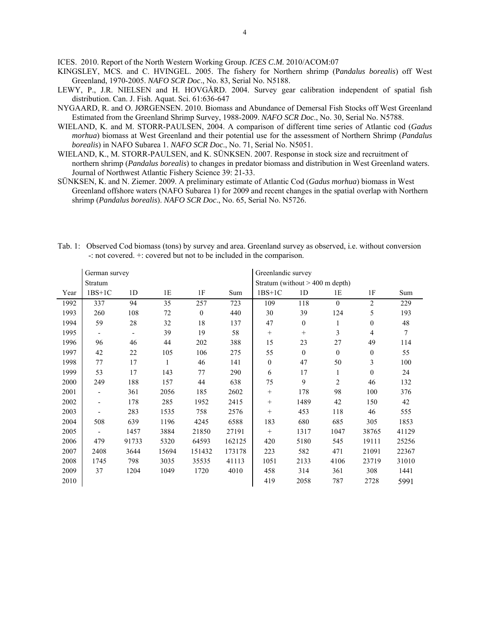ICES. 2010. Report of the North Western Working Group. *ICES C.M.* 2010/ACOM:07

- KINGSLEY, MCS. and C. HVINGEL. 2005. The fishery for Northern shrimp (P*andalus borealis*) off West Greenland, 1970-2005. *NAFO SCR Doc*., No. 83, Serial No. N5188.
- LEWY, P., J.R. NIELSEN and H. HOVGÅRD. 2004. Survey gear calibration independent of spatial fish distribution. Can. J. Fish. Aquat. Sci. 61:636-647
- NYGAARD, R. and O. JØRGENSEN. 2010. Biomass and Abundance of Demersal Fish Stocks off West Greenland Estimated from the Greenland Shrimp Survey, 1988-2009. *NAFO SCR Doc*., No. 30, Serial No. N5788.
- WIELAND, K. and M. STORR-PAULSEN, 2004. A comparison of different time series of Atlantic cod (*Gadus morhua*) biomass at West Greenland and their potential use for the assessment of Northern Shrimp (*Pandalus borealis*) in NAFO Subarea 1. *NAFO SCR Doc*., No. 71, Serial No. N5051.
- WIELAND, K., M. STORR-PAULSEN, and K. SÜNKSEN. 2007. Response in stock size and recruitment of northern shrimp (*Pandalus borealis*) to changes in predator biomass and distribution in West Greenland waters. Journal of Northwest Atlantic Fishery Science 39: 21-33.
- SÜNKSEN, K. and N. Ziemer. 2009. A preliminary estimate of Atlantic Cod (*Gadus morhua*) biomass in West Greenland offshore waters (NAFO Subarea 1) for 2009 and recent changes in the spatial overlap with Northern shrimp (*Pandalus borealis*). *NAFO SCR Doc*., No. 65, Serial No. N5726.

|      | German survey            |                          |       |                | Greenlandic survey                |                   |                |                  |                |       |
|------|--------------------------|--------------------------|-------|----------------|-----------------------------------|-------------------|----------------|------------------|----------------|-------|
|      | Stratum                  |                          |       |                | Stratum (without $> 400$ m depth) |                   |                |                  |                |       |
| Year | $1BS+1C$                 | 1 <sub>D</sub>           | 1E    | 1F             | Sum                               | $1BS+1C$          | 1 <sub>D</sub> | 1E               | 1F             | Sum   |
| 1992 | 337                      | 94                       | 35    | 257            | 723                               | 109               | 118            | $\mathbf{0}$     | $\overline{2}$ | 229   |
| 1993 | 260                      | 108                      | 72    | $\overline{0}$ | 440                               | 30                | 39             | 124              | 5              | 193   |
| 1994 | 59                       | 28                       | 32    | 18             | 137                               | 47                | $\mathbf{0}$   | $\mathbf{1}$     | $\theta$       | 48    |
| 1995 | $\overline{\phantom{0}}$ | $\overline{\phantom{a}}$ | 39    | 19             | 58                                |                   | $^{+}$         | 3                | $\overline{4}$ | 7     |
| 1996 | 96                       | 46                       | 44    | 202            | 388                               | 15                | 23             | 27               | 49             | 114   |
| 1997 | 42                       | 22                       | 105   | 106            | 275                               | 55                | $\mathbf{0}$   | $\boldsymbol{0}$ | $\mathbf{0}$   | 55    |
| 1998 | 77                       | 17                       | 1     | 46             | 141                               | $\boldsymbol{0}$  | 47             | 50               | 3              | 100   |
| 1999 | 53                       | 17                       | 143   | 77             | 290                               | 6                 | 17             | 1                | $\mathbf{0}$   | 24    |
| 2000 | 249                      | 188                      | 157   | 44             | 638                               | 75                | 9              | $\overline{2}$   | 46             | 132   |
| 2001 | $\overline{\phantom{a}}$ | 361                      | 2056  | 185            | 2602                              | $^+$              | 178            | 98               | 100            | 376   |
| 2002 | $\overline{\phantom{a}}$ | 178                      | 285   | 1952           | 2415                              | $^{+}$            | 1489           | 42               | 150            | 42    |
| 2003 |                          | 283                      | 1535  | 758            | 2576                              | $^{+}$            | 453            | 118              | 46             | 555   |
| 2004 | 508                      | 639                      | 1196  | 4245           | 6588                              | 183               | 680            | 685              | 305            | 1853  |
| 2005 | $\overline{\phantom{a}}$ | 1457                     | 3884  | 21850          | 27191                             | $\qquad \qquad +$ | 1317           | 1047             | 38765          | 41129 |
| 2006 | 479                      | 91733                    | 5320  | 64593          | 162125                            | 420               | 5180           | 545              | 19111          | 25256 |
| 2007 | 2408                     | 3644                     | 15694 | 151432         | 173178                            | 223               | 582            | 471              | 21091          | 22367 |
| 2008 | 1745                     | 798                      | 3035  | 35535          | 41113                             | 1051              | 2133           | 4106             | 23719          | 31010 |
| 2009 | 37                       | 1204                     | 1049  | 1720           | 4010                              | 458               | 314            | 361              | 308            | 1441  |
| 2010 |                          |                          |       |                |                                   | 419               | 2058           | 787              | 2728           | 5991  |

Tab. 1: Observed Cod biomass (tons) by survey and area. Greenland survey as observed, i.e. without conversion -: not covered. +: covered but not to be included in the comparison.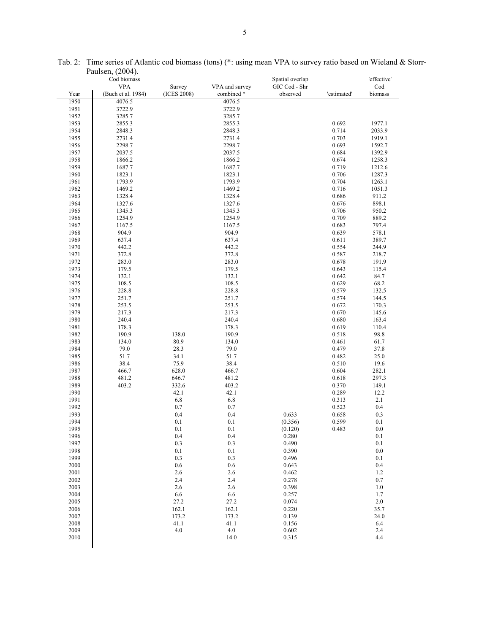|      | 1.44100H, 1.0017<br>Cod biomass |              |                | Spatial overlap    |             | 'effective'    |
|------|---------------------------------|--------------|----------------|--------------------|-------------|----------------|
|      | <b>VPA</b>                      | Survey       | VPA and survey | GIC Cod - Shr      |             | Cod            |
| Year | (Buch et al. 1984)              | (ICES 2008)  | combined *     | observed           | 'estimated' | biomass        |
| 1950 | 4076.5                          |              | 4076.5         |                    |             |                |
| 1951 | 3722.9                          |              | 3722.9         |                    |             |                |
| 1952 | 3285.7                          |              | 3285.7         |                    |             |                |
| 1953 | 2855.3                          |              | 2855.3         |                    | 0.692       | 1977.1         |
| 1954 | 2848.3                          |              | 2848.3         |                    | 0.714       | 2033.9         |
| 1955 | 2731.4                          |              | 2731.4         |                    | 0.703       | 1919.1         |
| 1956 | 2298.7                          |              | 2298.7         |                    | 0.693       | 1592.7         |
| 1957 | 2037.5                          |              | 2037.5         |                    | 0.684       | 1392.9         |
| 1958 | 1866.2                          |              | 1866.2         |                    | 0.674       | 1258.3         |
| 1959 | 1687.7                          |              | 1687.7         |                    | 0.719       | 1212.6         |
| 1960 | 1823.1                          |              | 1823.1         |                    | 0.706       | 1287.3         |
| 1961 | 1793.9                          |              | 1793.9         |                    | 0.704       | 1263.1         |
| 1962 | 1469.2                          |              | 1469.2         |                    | 0.716       | 1051.3         |
| 1963 | 1328.4                          |              | 1328.4         |                    | 0.686       | 911.2          |
| 1964 | 1327.6                          |              | 1327.6         |                    | 0.676       | 898.1          |
| 1965 | 1345.3                          |              | 1345.3         |                    | 0.706       | 950.2          |
| 1966 | 1254.9                          |              | 1254.9         |                    | 0.709       | 889.2          |
| 1967 | 1167.5                          |              | 1167.5         |                    | 0.683       | 797.4          |
| 1968 | 904.9                           |              | 904.9          |                    | 0.639       | 578.1          |
| 1969 | 637.4                           |              | 637.4          |                    | 0.611       | 389.7          |
| 1970 | 442.2                           |              | 442.2          |                    | 0.554       | 244.9          |
| 1971 | 372.8                           |              | 372.8          |                    | 0.587       | 218.7          |
| 1972 | 283.0                           |              | 283.0          |                    | 0.678       | 191.9          |
| 1973 | 179.5                           |              | 179.5          |                    | 0.643       | 115.4          |
| 1974 | 132.1                           |              | 132.1          |                    | 0.642       | 84.7           |
| 1975 | 108.5                           |              | 108.5          |                    | 0.629       | 68.2           |
| 1976 | 228.8                           |              | 228.8          |                    | 0.579       | 132.5          |
| 1977 | 251.7                           |              | 251.7          |                    | 0.574       | 144.5          |
| 1978 | 253.5                           |              | 253.5          |                    | 0.672       | 170.3          |
| 1979 | 217.3                           |              | 217.3          |                    | 0.670       | 145.6          |
| 1980 | 240.4                           |              | 240.4          |                    | 0.680       | 163.4          |
| 1981 | 178.3                           |              | 178.3          |                    | 0.619       | 110.4          |
| 1982 | 190.9                           |              | 190.9          |                    | 0.518       | 98.8           |
| 1983 | 134.0                           | 138.0        | 134.0          |                    | 0.461       |                |
| 1984 | 79.0                            | 80.9<br>28.3 | 79.0           |                    | 0.479       | 61.7<br>37.8   |
| 1985 | 51.7                            | 34.1         | 51.7           |                    | 0.482       | 25.0           |
| 1986 | 38.4                            | 75.9         | 38.4           |                    | 0.510       | 19.6           |
| 1987 | 466.7                           | 628.0        | 466.7          |                    | 0.604       |                |
| 1988 | 481.2                           | 646.7        | 481.2          |                    | 0.618       | 282.1<br>297.3 |
| 1989 | 403.2                           |              | 403.2          |                    | 0.370       |                |
| 1990 |                                 | 332.6        | 42.1           |                    | 0.289       | 149.1          |
| 1991 |                                 | 42.1<br>6.8  | 6.8            |                    | 0.313       | 12.2<br>2.1    |
| 1992 |                                 | 0.7          | 0.7            |                    | 0.523       | 0.4            |
| 1993 |                                 | 0.4          | 0.4            | 0.633              | 0.658       | 0.3            |
| 1994 |                                 | 0.1          | 0.1            |                    | 0.599       |                |
| 1995 |                                 | 0.1          | 0.1            | (0.356)<br>(0.120) | 0.483       | 0.1<br>0.0     |
| 1996 |                                 |              | 0.4            | 0.280              |             | 0.1            |
| 1997 |                                 | 0.4          | 0.3            |                    |             |                |
| 1998 |                                 | 0.3<br>0.1   | 0.1            | 0.490<br>0.390     |             | 0.1<br>0.0     |
| 1999 |                                 |              |                |                    |             |                |
| 2000 |                                 | 0.3          | 0.3            | 0.496<br>0.643     |             | 0.1            |
|      |                                 | 0.6          | 0.6            |                    |             | 0.4            |
| 2001 |                                 | 2.6          | 2.6            | 0.462              |             | 1.2            |
| 2002 |                                 | 2.4          | 2.4            | 0.278              |             | 0.7            |
| 2003 |                                 | 2.6          | 2.6            | 0.398              |             | 1.0            |
| 2004 |                                 | 6.6          | 6.6            | 0.257              |             | 1.7            |
| 2005 |                                 | 27.2         | 27.2           | 0.074              |             | 2.0            |
| 2006 |                                 | 162.1        | 162.1          | 0.220              |             | 35.7           |
| 2007 |                                 | 173.2        | 173.2          | 0.139              |             | 24.0           |
| 2008 |                                 | 41.1         | 41.1           | 0.156              |             | 6.4            |
| 2009 |                                 | 4.0          | 4.0            | 0.602              |             | 2.4<br>4.4     |
| 2010 |                                 |              | 14.0           | 0.315              |             |                |
|      |                                 |              |                |                    |             |                |

Tab. 2: Time series of Atlantic cod biomass (tons) (\*: using mean VPA to survey ratio based on Wieland & Storr-Paulsen, (2004).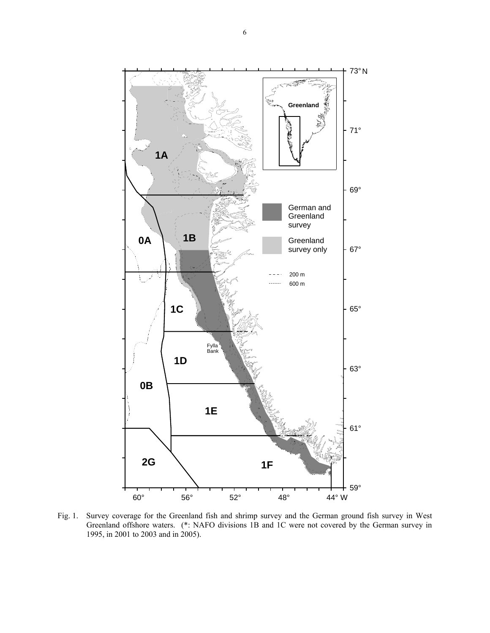

Fig. 1. Survey coverage for the Greenland fish and shrimp survey and the German ground fish survey in West Greenland offshore waters. (\*: NAFO divisions 1B and 1C were not covered by the German survey in 1995, in 2001 to 2003 and in 2005).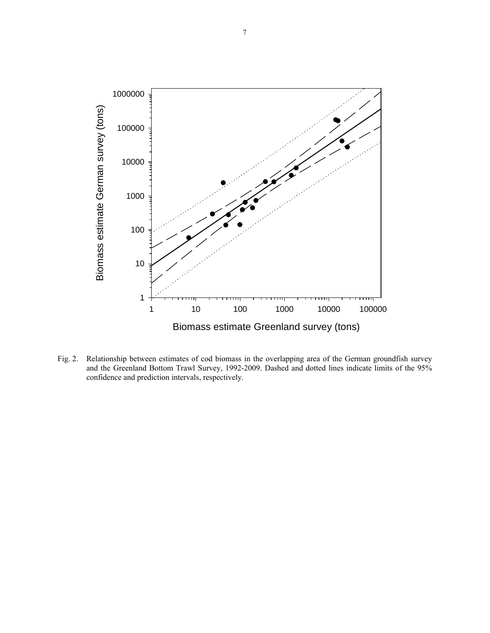

Fig. 2. Relationship between estimates of cod biomass in the overlapping area of the German groundfish survey and the Greenland Bottom Trawl Survey, 1992-2009. Dashed and dotted lines indicate limits of the 95% confidence and prediction intervals, respectively.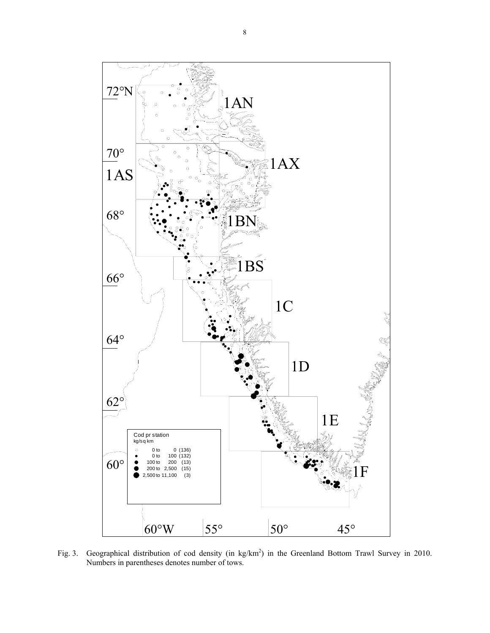

Fig. 3. Geographical distribution of cod density (in  $\text{kg/km}^2$ ) in the Greenland Bottom Trawl Survey in 2010. Numbers in parentheses denotes number of tows.